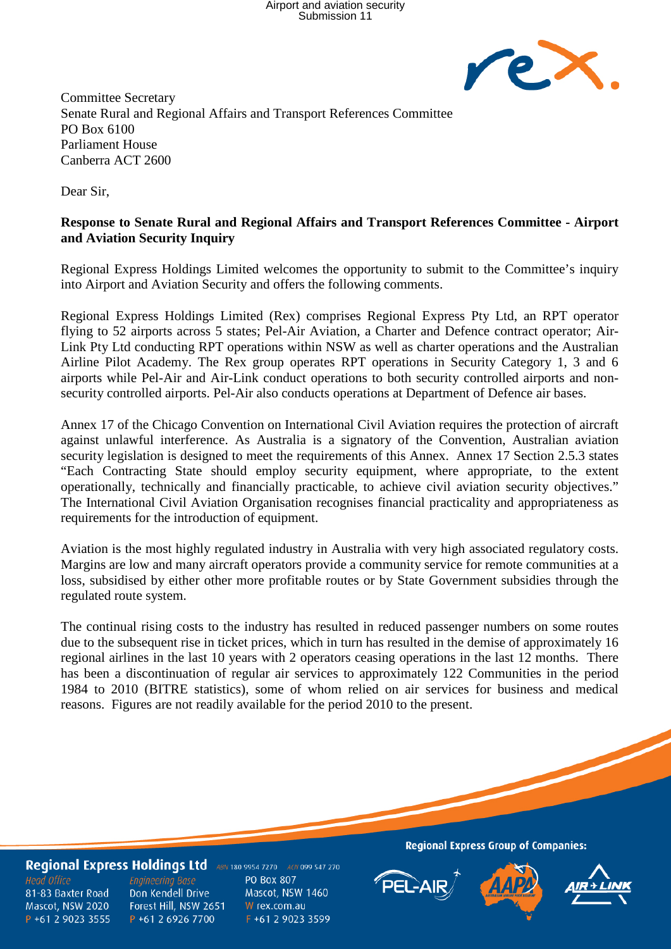

Committee Secretary Senate Rural and Regional Affairs and Transport References Committee PO Box 6100 Parliament House Canberra ACT 2600

Dear Sir,

## **Response to Senate Rural and Regional Affairs and Transport References Committee - Airport and Aviation Security Inquiry**

Regional Express Holdings Limited welcomes the opportunity to submit to the Committee's inquiry into Airport and Aviation Security and offers the following comments.

Regional Express Holdings Limited (Rex) comprises Regional Express Pty Ltd, an RPT operator flying to 52 airports across 5 states; Pel-Air Aviation, a Charter and Defence contract operator; Air-Link Pty Ltd conducting RPT operations within NSW as well as charter operations and the Australian Airline Pilot Academy. The Rex group operates RPT operations in Security Category 1, 3 and 6 airports while Pel-Air and Air-Link conduct operations to both security controlled airports and nonsecurity controlled airports. Pel-Air also conducts operations at Department of Defence air bases.

Annex 17 of the Chicago Convention on International Civil Aviation requires the protection of aircraft against unlawful interference. As Australia is a signatory of the Convention, Australian aviation security legislation is designed to meet the requirements of this Annex. Annex 17 Section 2.5.3 states "Each Contracting State should employ security equipment, where appropriate, to the extent operationally, technically and financially practicable, to achieve civil aviation security objectives." The International Civil Aviation Organisation recognises financial practicality and appropriateness as requirements for the introduction of equipment.

Aviation is the most highly regulated industry in Australia with very high associated regulatory costs. Margins are low and many aircraft operators provide a community service for remote communities at a loss, subsidised by either other more profitable routes or by State Government subsidies through the regulated route system.

The continual rising costs to the industry has resulted in reduced passenger numbers on some routes due to the subsequent rise in ticket prices, which in turn has resulted in the demise of approximately 16 regional airlines in the last 10 years with 2 operators ceasing operations in the last 12 months. There has been a discontinuation of regular air services to approximately 122 Communities in the period 1984 to 2010 (BITRE statistics), some of whom relied on air services for business and medical reasons. Figures are not readily available for the period 2010 to the present.

## Regional Express Holdings Ltd ABN 180 9954 7270 ACN 099 547 270

**Head Office** 81-83 Baxter Road Mascot, NSW 2020 P +61 2 9023 3555

**Engineering Base** Don Kendell Drive Forest Hill, NSW 2651 P +61 2 6926 7700

PO Box 807 Mascot, NSW 1460 W rex.com.au F +61 2 9023 3599 **Regional Express Group of Companies:**